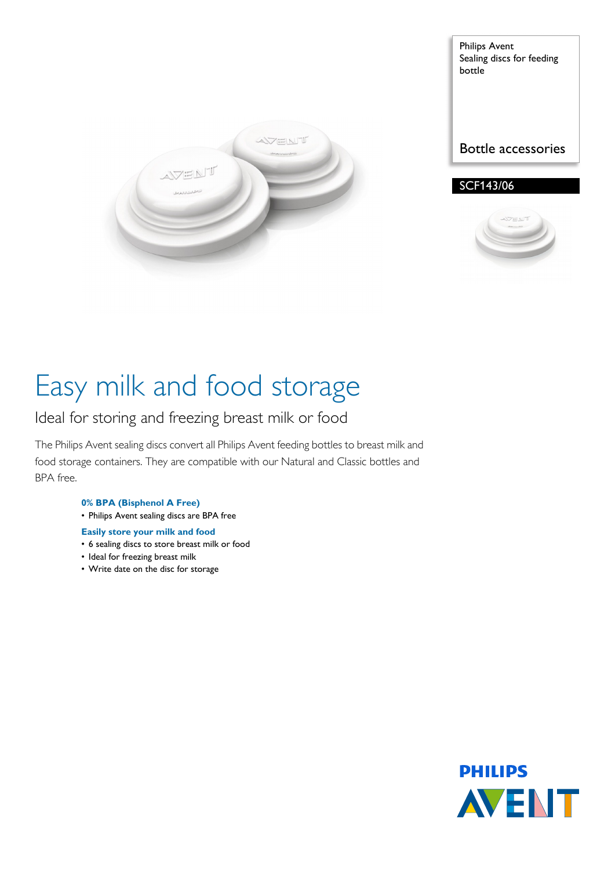

Philips Avent Sealing discs for feeding bottle

Bottle accessories

### SCF143/06



# Easy milk and food storage

### Ideal for storing and freezing breast milk or food

The Philips Avent sealing discs convert all Philips Avent feeding bottles to breast milk and food storage containers. They are compatible with our Natural and Classic bottles and BPA free.

#### **0% BPA (Bisphenol A Free)**

• Philips Avent sealing discs are BPA free

#### **Easily store your milk and food**

- 6 sealing discs to store breast milk or food
- Ideal for freezing breast milk
- Write date on the disc for storage